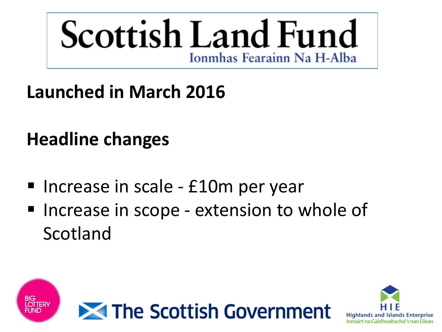

**Launched in March 2016** 

## **Headline changes**

- Increase in scale £10m per year
- **Increase in scope extension to whole of** Scotland



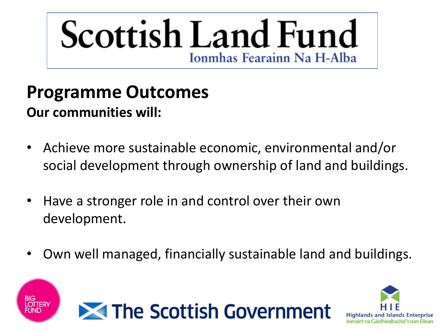### **Programme Outcomes**

#### **Our communities will:**

- Achieve more sustainable economic, environmental and/or social development through ownership of land and buildings.
- Have a stronger role in and control over their own development.
- Own well managed, financially sustainable land and buildings.





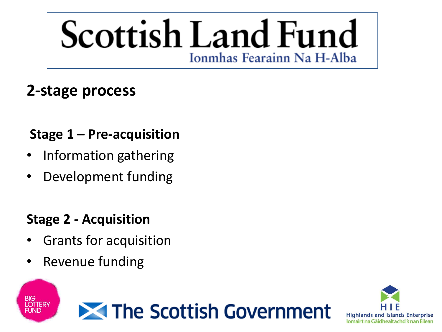#### **2-stage process**

#### **Stage 1 – Pre-acquisition**

- Information gathering
- Development funding

#### **Stage 2 - Acquisition**

- Grants for acquisition
- Revenue funding

**BIG<br>LOTTERY** 

FUND



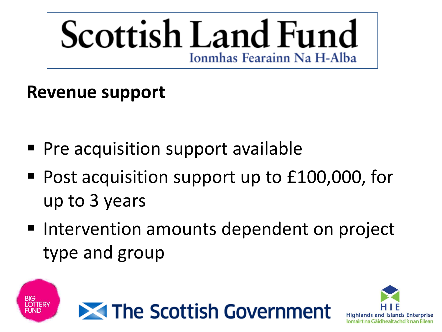### **Revenue support**

- **Pre acquisition support available**
- Post acquisition support up to £100,000, for up to 3 years
- Intervention amounts dependent on project type and group





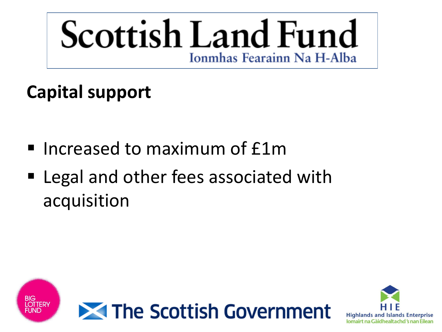### **Capital support**

- Increased to maximum of £1m
- Legal and other fees associated with acquisition



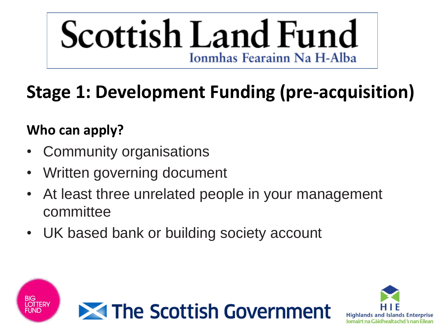### **Stage 1: Development Funding (pre-acquisition)**

#### **Who can apply?**

- Community organisations
- Written governing document
- At least three unrelated people in your management committee
- UK based bank or building society account



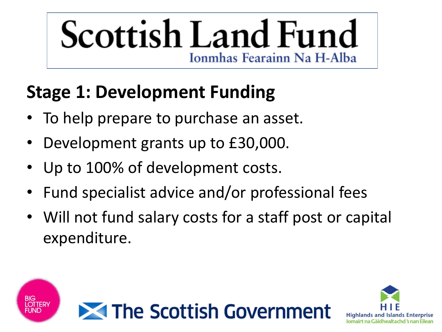### **Stage 1: Development Funding**

- To help prepare to purchase an asset.
- Development grants up to £30,000.
- Up to 100% of development costs.
- Fund specialist advice and/or professional fees
- Will not fund salary costs for a staff post or capital expenditure.



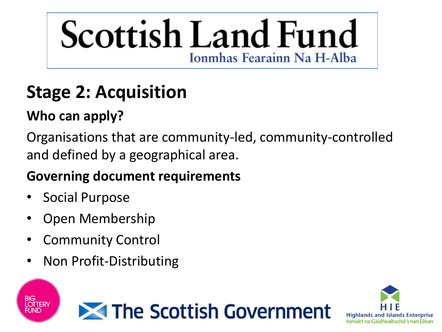### **Stage 2: Acquisition**

### **Who can apply?**

Organisations that are community-led, community-controlled and defined by a geographical area.

#### **Governing document requirements**

• Social Purpose

**BIG<br>LOTTERY** 

- Open Membership
- **Community Control**
- Non Profit-Distributing



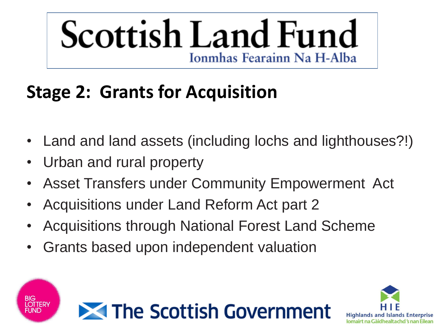### **Stage 2: Grants for Acquisition**

- Land and land assets (including lochs and lighthouses?!)
- Urban and rural property

**BIG<br>LOTTERY** 

- Asset Transfers under Community Empowerment Act
- Acquisitions under Land Reform Act part 2
- Acquisitions through National Forest Land Scheme
- Grants based upon independent valuation



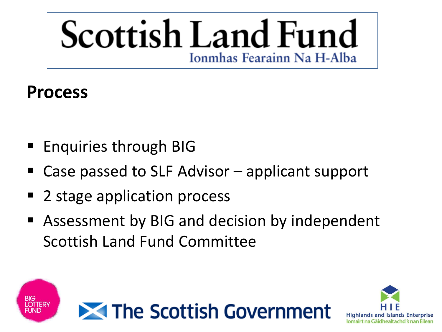### **Process**

- Enquiries through BIG
- Case passed to SLF Advisor applicant support
- 2 stage application process
- Assessment by BIG and decision by independent Scottish Land Fund Committee